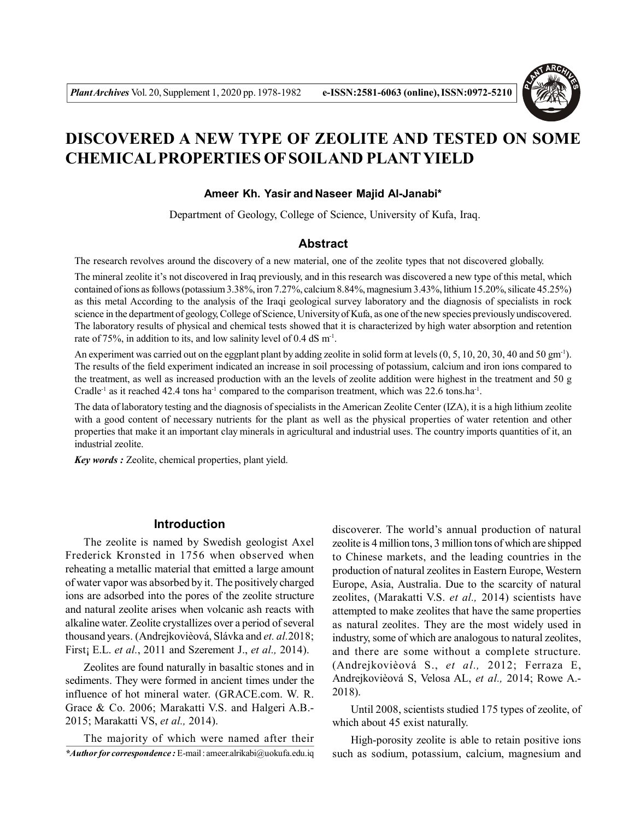

# **DISCOVERED A NEW TYPE OF ZEOLITE AND TESTED ON SOME CHEMICAL PROPERTIES OF SOILAND PLANTYIELD**

#### **Ameer Kh. Yasir and Naseer Majid Al-Janabi\***

Department of Geology, College of Science, University of Kufa, Iraq.

### **Abstract**

The research revolves around the discovery of a new material, one of the zeolite types that not discovered globally.

The mineral zeolite it's not discovered in Iraq previously, and in this research was discovered a new type of this metal, which contained of ions as follows (potassium 3.38%, iron 7.27%, calcium 8.84%, magnesium 3.43%, lithium 15.20%, silicate 45.25%) as this metal According to the analysis of the Iraqi geological survey laboratory and the diagnosis of specialists in rock science in the department of geology, College of Science, University of Kufa, as one of the new species previously undiscovered. The laboratory results of physical and chemical tests showed that it is characterized by high water absorption and retention rate of 75%, in addition to its, and low salinity level of  $0.4$  dS m<sup>-1</sup>.

An experiment was carried out on the eggplant plant by adding zeolite in solid form at levels  $(0, 5, 10, 20, 30, 40$  and 50 gm<sup>-1</sup>). The results of the field experiment indicated an increase in soil processing of potassium, calcium and iron ions compared to the treatment, as well as increased production with an the levels of zeolite addition were highest in the treatment and 50 g Cradle<sup>-1</sup> as it reached 42.4 tons ha<sup>-1</sup> compared to the comparison treatment, which was 22.6 tons.ha<sup>-1</sup>.

The data of laboratory testing and the diagnosis of specialists in the American Zeolite Center (IZA), it is a high lithium zeolite with a good content of necessary nutrients for the plant as well as the physical properties of water retention and other properties that make it an important clay minerals in agricultural and industrial uses. The country imports quantities of it, an industrial zeolite.

*Key words :* Zeolite, chemical properties, plant yield.

# **Introduction**

The zeolite is named by Swedish geologist Axel Frederick Kronsted in 1756 when observed when reheating a metallic material that emitted a large amount of water vapor was absorbed by it. The positively charged ions are adsorbed into the pores of the zeolite structure and natural zeolite arises when volcanic ash reacts with alkaline water. Zeolite crystallizes over a period of several thousand years. (Andrejkovièová, Slávka and *et. al.*2018; First¡ E.L. *et al.*, 2011 and Szerement J., *et al.,* 2014).

Zeolites are found naturally in basaltic stones and in sediments. They were formed in ancient times under the influence of hot mineral water. (GRACE.com. W. R. Grace & Co. 2006; Marakatti V.S. and Halgeri A.B.- 2015; Marakatti VS, *et al.,* 2014).

*\*Author for correspondence :* E-mail : ameer.alrikabi@uokufa.edu.iq The majority of which were named after their

discoverer. The world's annual production of natural zeolite is 4 million tons, 3 million tons of which are shipped to Chinese markets, and the leading countries in the production of natural zeolites in Eastern Europe, Western Europe, Asia, Australia. Due to the scarcity of natural zeolites, (Marakatti V.S. *et al.,* 2014) scientists have attempted to make zeolites that have the same properties as natural zeolites. They are the most widely used in industry, some of which are analogous to natural zeolites, and there are some without a complete structure. (Andrejkovièová S., *et al.,* 2012; Ferraza E, Andrejkovièová S, Velosa AL, *et al.,* 2014; Rowe A.- 2018).

Until 2008, scientists studied 175 types of zeolite, of which about 45 exist naturally.

High-porosity zeolite is able to retain positive ions such as sodium, potassium, calcium, magnesium and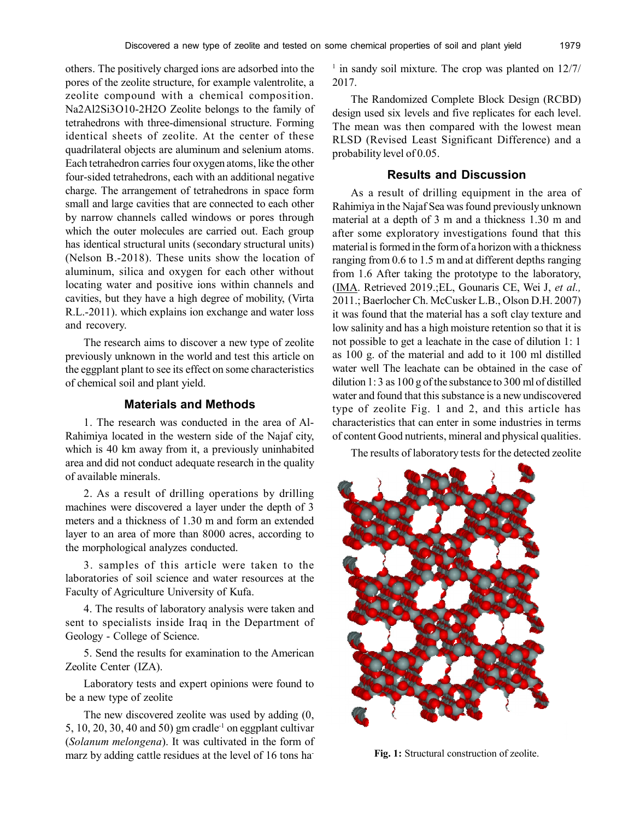others. The positively charged ions are adsorbed into the pores of the zeolite structure, for example valentrolite, a zeolite compound with a chemical composition. Na2Al2Si3O10-2H2O Zeolite belongs to the family of tetrahedrons with three-dimensional structure. Forming identical sheets of zeolite. At the center of these quadrilateral objects are aluminum and selenium atoms. Each tetrahedron carries four oxygen atoms, like the other four-sided tetrahedrons, each with an additional negative charge. The arrangement of tetrahedrons in space form small and large cavities that are connected to each other by narrow channels called windows or pores through which the outer molecules are carried out. Each group has identical structural units (secondary structural units) (Nelson B.-2018). These units show the location of aluminum, silica and oxygen for each other without locating water and positive ions within channels and cavities, but they have a high degree of mobility, (Virta R.L.-2011). which explains ion exchange and water loss and recovery.

The research aims to discover a new type of zeolite previously unknown in the world and test this article on the eggplant plant to see its effect on some characteristics of chemical soil and plant yield.

## **Materials and Methods**

1. The research was conducted in the area of Al-Rahimiya located in the western side of the Najaf city, which is 40 km away from it, a previously uninhabited area and did not conduct adequate research in the quality of available minerals.

2. As a result of drilling operations by drilling machines were discovered a layer under the depth of 3 meters and a thickness of 1.30 m and form an extended layer to an area of more than 8000 acres, according to the morphological analyzes conducted.

3. samples of this article were taken to the laboratories of soil science and water resources at the Faculty of Agriculture University of Kufa.

4. The results of laboratory analysis were taken and sent to specialists inside Iraq in the Department of Geology - College of Science.

5. Send the results for examination to the American Zeolite Center (IZA).

Laboratory tests and expert opinions were found to be a new type of zeolite

The new discovered zeolite was used by adding (0,  $5, 10, 20, 30, 40$  and  $50$ ) gm cradle<sup>-1</sup> on eggplant cultivar (*Solanum melongena*). It was cultivated in the form of marz by adding cattle residues at the level of 16 tons ha-

<sup>1</sup> in sandy soil mixture. The crop was planted on 12/7/ 2017.

The Randomized Complete Block Design (RCBD) design used six levels and five replicates for each level. The mean was then compared with the lowest mean RLSD (Revised Least Significant Difference) and a probability level of 0.05.

### **Results and Discussion**

As a result of drilling equipment in the area of Rahimiya in the Najaf Sea was found previously unknown material at a depth of 3 m and a thickness 1.30 m and after some exploratory investigations found that this material is formed in the form of a horizon with a thickness ranging from 0.6 to 1.5 m and at different depths ranging from 1.6 After taking the prototype to the laboratory, (IMA. Retrieved 2019.;EL, Gounaris CE, Wei J, *et al.,* 2011.; Baerlocher Ch. McCusker L.B., Olson D.H. 2007) it was found that the material has a soft clay texture and low salinity and has a high moisture retention so that it is not possible to get a leachate in the case of dilution 1: 1 as 100 g. of the material and add to it 100 ml distilled water well The leachate can be obtained in the case of dilution 1: 3 as 100 g of the substance to 300 ml of distilled water and found that this substance is a new undiscovered type of zeolite Fig. 1 and 2, and this article has characteristics that can enter in some industries in terms of content Good nutrients, mineral and physical qualities.

The results of laboratory tests for the detected zeolite



**Fig. 1:** Structural construction of zeolite.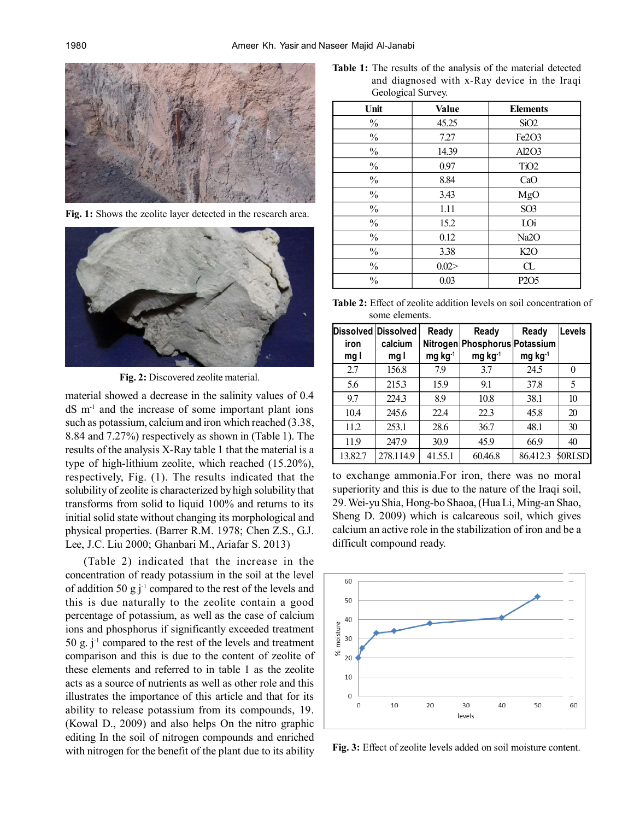

**Fig. 1:** Shows the zeolite layer detected in the research area.



**Fig. 2:** Discovered zeolite material.

material showed a decrease in the salinity values of 0.4  $dS$  m<sup>-1</sup> and the increase of some important plant ions such as potassium, calcium and iron which reached (3.38, 8.84 and 7.27%) respectively as shown in (Table 1). The results of the analysis X-Ray table 1 that the material is a type of high-lithium zeolite, which reached (15.20%), respectively, Fig. (1). The results indicated that the solubility of zeolite is characterized by high solubility that transforms from solid to liquid 100% and returns to its initial solid state without changing its morphological and physical properties. (Barrer R.M. 1978; Chen Z.S., G.J. Lee, J.C. Liu 2000; Ghanbari M., Ariafar S. 2013)

(Table 2) indicated that the increase in the concentration of ready potassium in the soil at the level of addition 50 g  $j^{-1}$  compared to the rest of the levels and this is due naturally to the zeolite contain a good percentage of potassium, as well as the case of calcium ions and phosphorus if significantly exceeded treatment 50 g.  $j^{-1}$  compared to the rest of the levels and treatment comparison and this is due to the content of zeolite of these elements and referred to in table 1 as the zeolite acts as a source of nutrients as well as other role and this illustrates the importance of this article and that for its ability to release potassium from its compounds, 19. (Kowal D., 2009) and also helps On the nitro graphic editing In the soil of nitrogen compounds and enriched with nitrogen for the benefit of the plant due to its ability

**Table 1:** The results of the analysis of the material detected and diagnosed with x-Ray device in the Iraqi Geological Survey.

| Unit          | <b>Value</b> | <b>Elements</b>                |
|---------------|--------------|--------------------------------|
| $\%$          | 45.25        | SiO2                           |
| $\%$          | 7.27         | Fe <sub>2</sub> O <sub>3</sub> |
| $\%$          | 14.39        | Al2O3                          |
| $\%$          | 0.97         | TiO <sub>2</sub>               |
| $\%$          | 8.84         | CaO                            |
| $\frac{0}{0}$ | 3.43         | MgO                            |
| $\frac{0}{0}$ | 1.11         | SO <sub>3</sub>                |
| $\%$          | 15.2         | LOi                            |
| $\frac{0}{0}$ | 0.12         | Na2O                           |
| $\%$          | 3.38         | K2O                            |
| $\frac{0}{0}$ | 0.02 >       | Œ                              |
| $\frac{0}{0}$ | 0.03         | P <sub>2</sub> O <sub>5</sub>  |

**Table 2:** Effect of zeolite addition levels on soil concentration of some elements.

| iron<br>mg l | Dissolved Dissolved<br>calcium<br>mg I | Ready<br>mg kg <sup>-1</sup> | Ready<br>Nitrogen Phosphorus Potassium<br>mg kg <sup>-1</sup> | Ready<br>$mg$ kg <sup>-1</sup> | <b>Levels</b> |
|--------------|----------------------------------------|------------------------------|---------------------------------------------------------------|--------------------------------|---------------|
| 2.7          | 156.8                                  | 7.9                          | 3.7                                                           | 24.5                           | 0             |
| 5.6          | 215.3                                  | 15.9                         | 9.1                                                           | 37.8                           | 5             |
| 9.7          | 224.3                                  | 8.9                          | 10.8                                                          | 38.1                           | 10            |
| 10.4         | 245.6                                  | 22.4                         | 22.3                                                          | 45.8                           | 20            |
| 11.2         | 253.1                                  | 28.6                         | 36.7                                                          | 48.1                           | 30            |
| 11.9         | 247.9                                  | 30.9                         | 45.9                                                          | 66.9                           | 40            |
| 13.82.7      | 278.114.9                              | 41.55.1                      | 60.46.8                                                       | 86.412.3                       | 50RLSD        |

to exchange ammonia.For iron, there was no moral superiority and this is due to the nature of the Iraqi soil, 29. Wei-yu Shia, Hong-bo Shaoa, (Hua Li, Ming-an Shao, Sheng D. 2009) which is calcareous soil, which gives calcium an active role in the stabilization of iron and be a difficult compound ready.



**Fig. 3:** Effect of zeolite levels added on soil moisture content.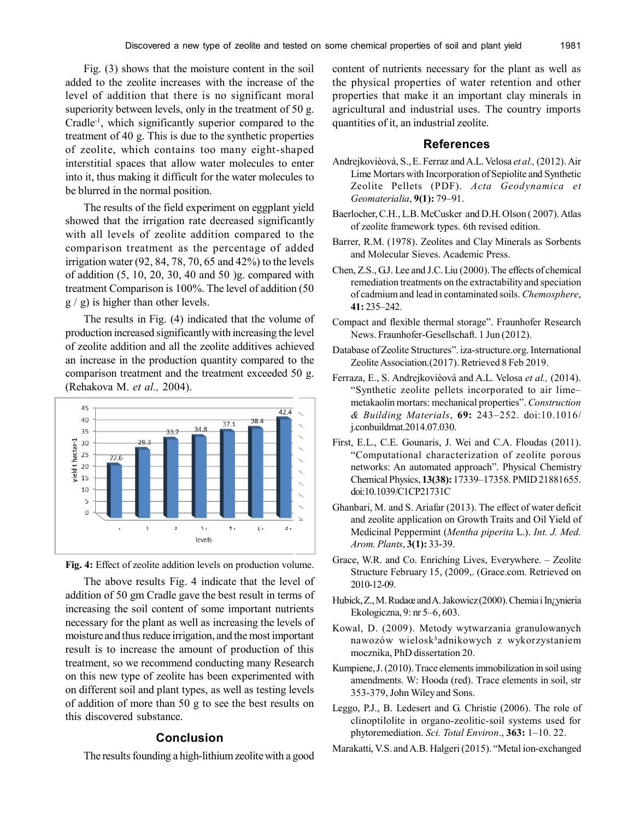Fig. (3) shows that the moisture content in the soil added to the zeolite increases with the increase of the level of addition that there is no significant moral superiority between levels, only in the treatment of 50 g. Cradle<sup>-1</sup>, which significantly superior compared to the treatment of 40 g. This is due to the synthetic properties of zeolite, which contains too many eight-shaped interstitial spaces that allow water molecules to enter into it, thus making it difficult for the water molecules to be blurred in the normal position.

The results of the field experiment on eggplant yield showed that the irrigation rate decreased significantly with all levels of zeolite addition compared to the comparison treatment as the percentage of added irrigation water  $(92, 84, 78, 70, 65,$  and  $42\%)$  to the levels of addition (5, 10, 20, 30, 40 and 50 )g. compared with treatment Comparison is 100%. The level of addition (50 g / g) is higher than other levels.

The results in Fig. (4) indicated that the volume of production increased significantly with increasing the level of zeolite addition and all the zeolite additives achieved an increase in the production quantity compared to the comparison treatment and the treatment exceeded 50 g. (Rehakova M. *et al.,* 2004).



**Fig. 4:** Effect of zeolite addition levels on production volume.

The above results Fig. 4 indicate that the level of addition of 50 gm Cradle gave the best result in terms of increasing the soil content of some important nutrients necessary for the plant as well as increasing the levels of moisture and thus reduce irrigation, and the most important result is to increase the amount of production of this treatment, so we recommend conducting many Research on this new type of zeolite has been experimented with on different soil and plant types, as well as testing levels of addition of more than 50 g to see the best results on this discovered substance.

# **Conclusion**

The results founding a high-lithium zeolite with a good

content of nutrients necessary for the plant as well as the physical properties of water retention and other properties that make it an important clay minerals in agricultural and industrial uses. The country imports quantities of it, an industrial zeolite.

#### **References**

- Andrejkovièová, S., E. Ferraz and A.L. Velosa *et al.,* (2012). Air Lime Mortars with Incorporation of Sepiolite and Synthetic Zeolite Pellets (PDF). *Acta Geodynamica et Geomaterialia*, **9(1):** 79–91.
- Baerlocher, C.H., L.B. McCusker and D.H. Olson ( 2007). Atlas of zeolite framework types. 6th revised edition.
- Barrer, R.M. (1978). Zeolites and Clay Minerals as Sorbents and Molecular Sieves. Academic Press.
- Chen, Z.S., G.J. Lee and J.C. Liu (2000). The effects of chemical remediation treatments on the extractability and speciation of cadmium and lead in contaminated soils. *Chemosphere*, **41:** 235–242.
- Compact and flexible thermal storage". Fraunhofer Research News. Fraunhofer-Gesellschaft. 1 Jun (2012).
- Database of Zeolite Structures". iza-structure.org. International Zeolite Association.(2017). Retrieved 8 Feb 2019.
- Ferraza, E., S. Andrejkovièová and A.L. Velosa *et al.,* (2014). "Synthetic zeolite pellets incorporated to air lime– metakaolin mortars: mechanical properties". *Construction & Building Materials*, **69:** 243–252. doi:10.1016/ j.conbuildmat.2014.07.030.
- First, E.L., C.E. Gounaris, J. Wei and C.A. Floudas (2011). "Computational characterization of zeolite porous networks: An automated approach". Physical Chemistry Chemical Physics, **13(38):** 17339–17358. PMID 21881655. doi:10.1039/C1CP21731C
- Ghanbari, M. and S. Ariafar (2013). The effect of water deficit and zeolite application on Growth Traits and Oil Yield of Medicinal Peppermint (*Mentha piperita* L.). *Int. J. Med. Arom. Plants*, **3(1):** 33-39.
- Grace, W.R. and Co. Enriching Lives, Everywhere. Zeolite Structure February 15, (2009,. (Grace.com. Retrieved on 2010-12-09.
- Hubick, Z., M. Rudaœ and A. Jakowicz (2000). Chemia i In¿ynieria Ekologiczna, 9: nr 5–6, 603.
- Kowal, D. (2009). Metody wytwarzania granulowanych nawozów wielosk³adnikowych z wykorzystaniem mocznika, PhD dissertation 20.
- Kumpiene, J. (2010). Trace elements immobilization in soil using amendments. W: Hooda (red). Trace elements in soil, str 353-379, John Wiley and Sons.
- Leggo, P.J., B. Ledesert and G. Christie (2006). The role of clinoptilolite in organo-zeolitic-soil systems used for phytoremediation. *Sci. Total Environ*., **363:** 1–10. 22.
- Marakatti, V.S. and A.B. Halgeri (2015). "Metal ion-exchanged